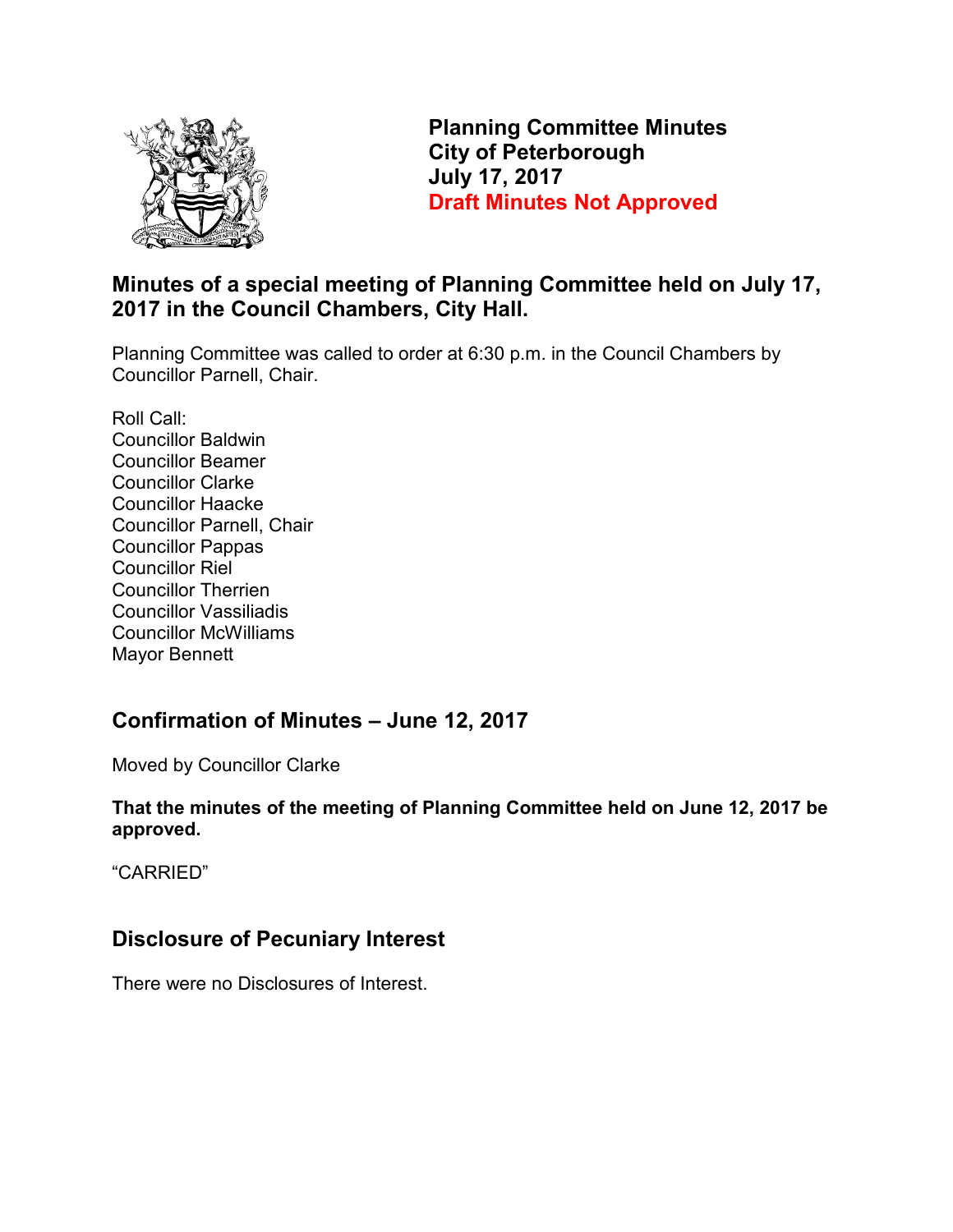

**Planning Committee Minutes City of Peterborough July 17, 2017 Draft Minutes Not Approved** 

## **Minutes of a special meeting of Planning Committee held on July 17, 2017 in the Council Chambers, City Hall.**

Planning Committee was called to order at 6:30 p.m. in the Council Chambers by Councillor Parnell, Chair.

Roll Call: Councillor Baldwin Councillor Beamer Councillor Clarke Councillor Haacke Councillor Parnell, Chair Councillor Pappas Councillor Riel Councillor Therrien Councillor Vassiliadis Councillor McWilliams Mayor Bennett

### **Confirmation of Minutes – June 12, 2017**

Moved by Councillor Clarke

**That the minutes of the meeting of Planning Committee held on June 12, 2017 be approved.** 

"CARRIED"

# **Disclosure of Pecuniary Interest**

There were no Disclosures of Interest.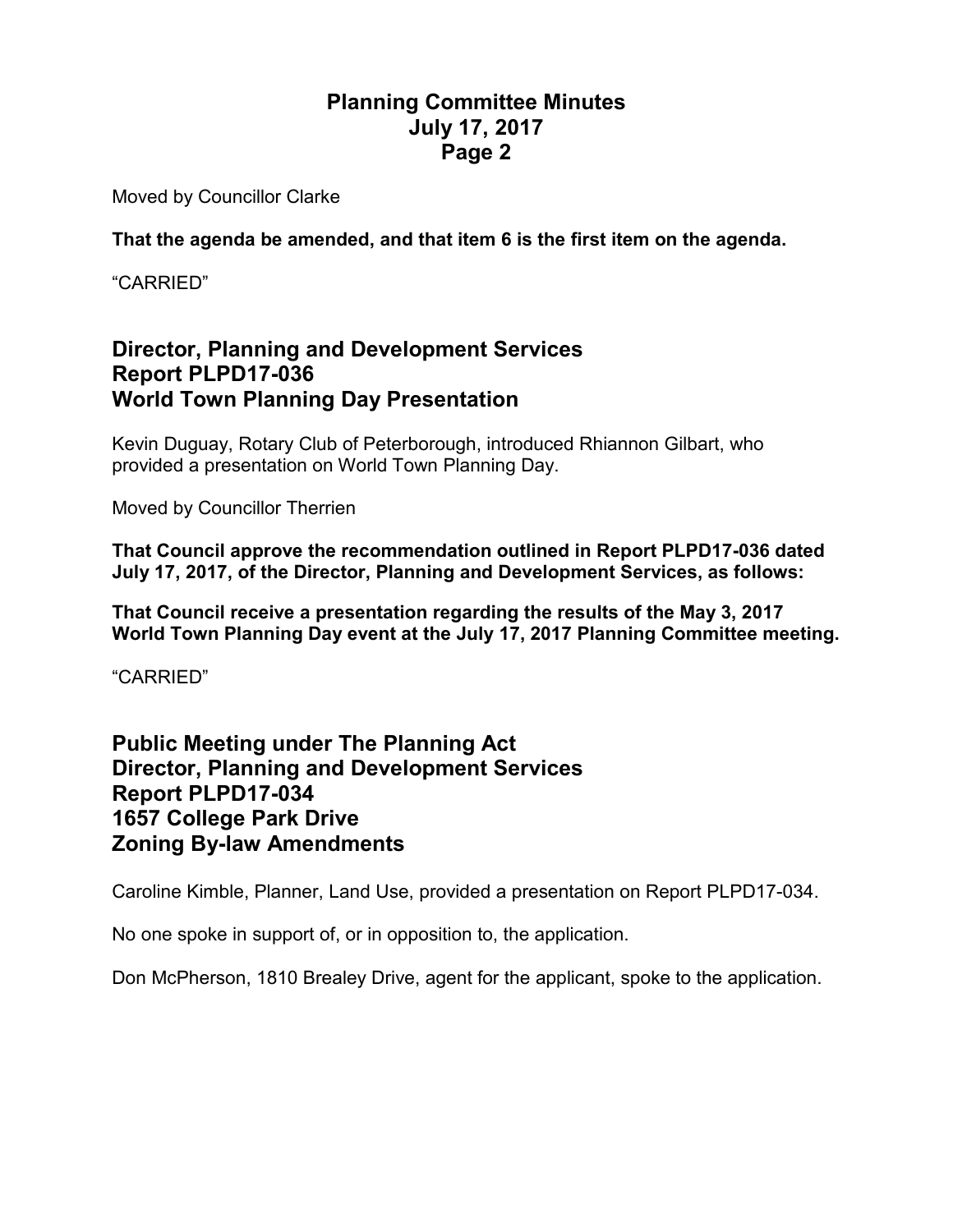Moved by Councillor Clarke

**That the agenda be amended, and that item 6 is the first item on the agenda.** 

"CARRIED"

#### **Director, Planning and Development Services Report PLPD17-036 World Town Planning Day Presentation**

Kevin Duguay, Rotary Club of Peterborough, introduced Rhiannon Gilbart, who provided a presentation on World Town Planning Day.

Moved by Councillor Therrien

**That Council approve the recommendation outlined in Report PLPD17-036 dated July 17, 2017, of the Director, Planning and Development Services, as follows:** 

**That Council receive a presentation regarding the results of the May 3, 2017 World Town Planning Day event at the July 17, 2017 Planning Committee meeting.** 

"CARRIED"

#### **Public Meeting under The Planning Act Director, Planning and Development Services Report PLPD17-034 1657 College Park Drive Zoning By-law Amendments**

Caroline Kimble, Planner, Land Use, provided a presentation on Report PLPD17-034.

No one spoke in support of, or in opposition to, the application.

Don McPherson, 1810 Brealey Drive, agent for the applicant, spoke to the application.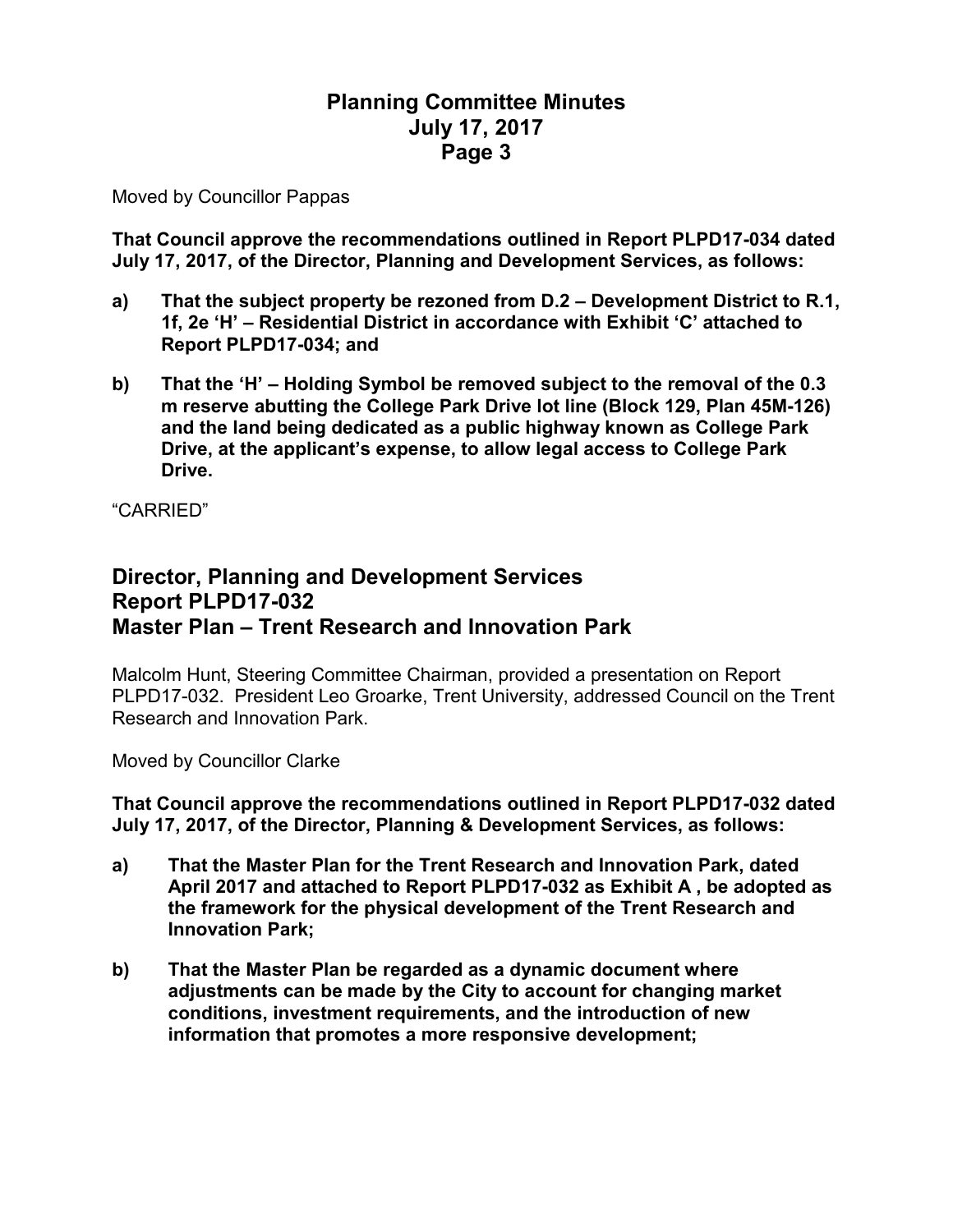Moved by Councillor Pappas

**That Council approve the recommendations outlined in Report PLPD17-034 dated July 17, 2017, of the Director, Planning and Development Services, as follows:** 

- **a) That the subject property be rezoned from D.2 Development District to R.1, 1f, 2e 'H' – Residential District in accordance with Exhibit 'C' attached to Report PLPD17-034; and**
- **b) That the 'H' Holding Symbol be removed subject to the removal of the 0.3 m reserve abutting the College Park Drive lot line (Block 129, Plan 45M-126) and the land being dedicated as a public highway known as College Park Drive, at the applicant's expense, to allow legal access to College Park Drive.**

"CARRIED"

#### **Director, Planning and Development Services Report PLPD17-032 Master Plan – Trent Research and Innovation Park**

Malcolm Hunt, Steering Committee Chairman, provided a presentation on Report PLPD17-032. President Leo Groarke, Trent University, addressed Council on the Trent Research and Innovation Park.

Moved by Councillor Clarke

**That Council approve the recommendations outlined in Report PLPD17-032 dated July 17, 2017, of the Director, Planning & Development Services, as follows:** 

- **a) That the Master Plan for the Trent Research and Innovation Park, dated April 2017 and attached to Report PLPD17-032 as Exhibit A , be adopted as the framework for the physical development of the Trent Research and Innovation Park;**
- **b) That the Master Plan be regarded as a dynamic document where adjustments can be made by the City to account for changing market conditions, investment requirements, and the introduction of new information that promotes a more responsive development;**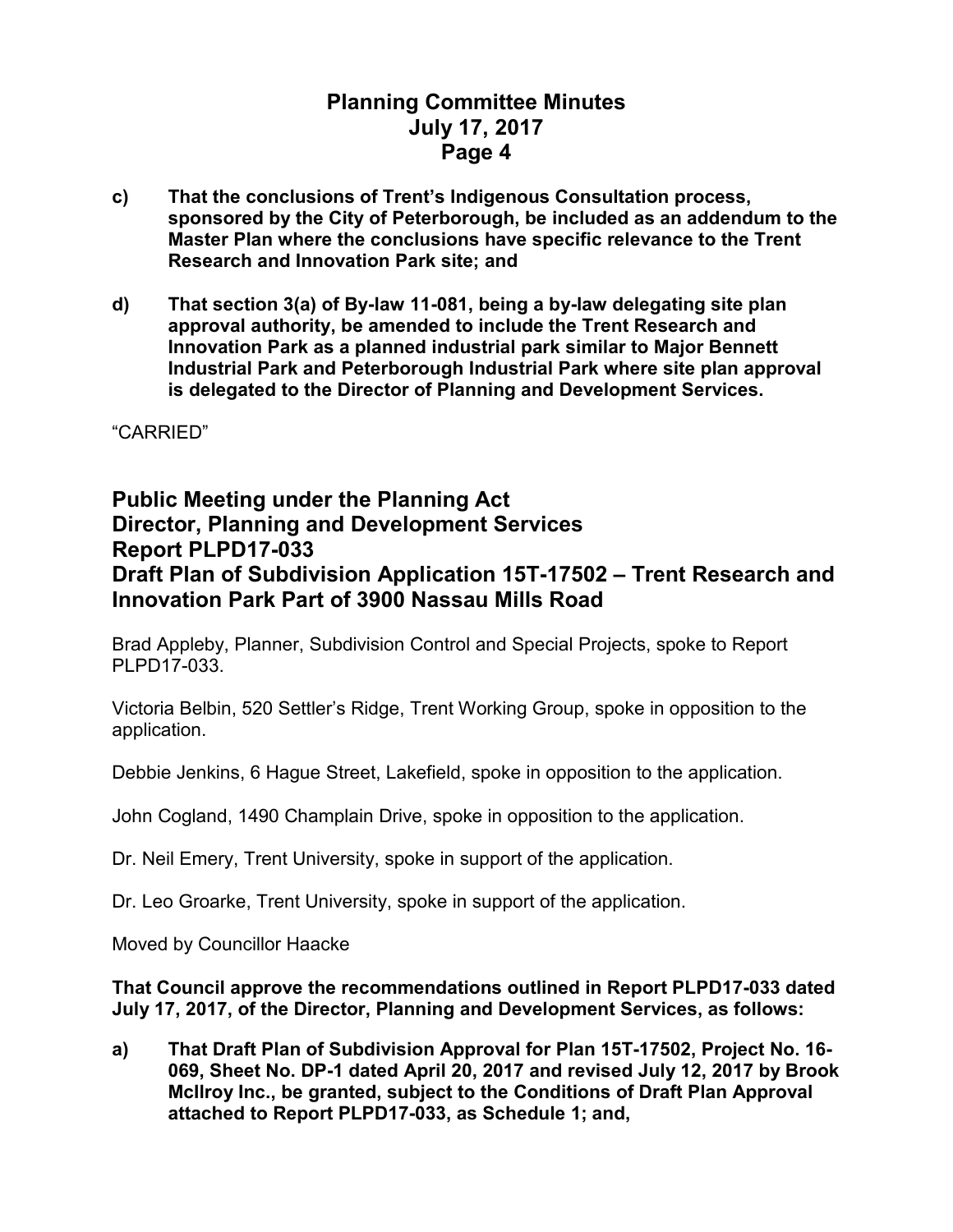- **c) That the conclusions of Trent's Indigenous Consultation process, sponsored by the City of Peterborough, be included as an addendum to the Master Plan where the conclusions have specific relevance to the Trent Research and Innovation Park site; and**
- **d) That section 3(a) of By-law 11-081, being a by-law delegating site plan approval authority, be amended to include the Trent Research and Innovation Park as a planned industrial park similar to Major Bennett Industrial Park and Peterborough Industrial Park where site plan approval is delegated to the Director of Planning and Development Services.**

"CARRIED"

#### **Public Meeting under the Planning Act Director, Planning and Development Services Report PLPD17-033 Draft Plan of Subdivision Application 15T-17502 – Trent Research and Innovation Park Part of 3900 Nassau Mills Road**

Brad Appleby, Planner, Subdivision Control and Special Projects, spoke to Report PLPD17-033.

Victoria Belbin, 520 Settler's Ridge, Trent Working Group, spoke in opposition to the application.

Debbie Jenkins, 6 Hague Street, Lakefield, spoke in opposition to the application.

John Cogland, 1490 Champlain Drive, spoke in opposition to the application.

Dr. Neil Emery, Trent University, spoke in support of the application.

Dr. Leo Groarke, Trent University, spoke in support of the application.

Moved by Councillor Haacke

#### **That Council approve the recommendations outlined in Report PLPD17-033 dated July 17, 2017, of the Director, Planning and Development Services, as follows:**

**a) That Draft Plan of Subdivision Approval for Plan 15T-17502, Project No. 16- 069, Sheet No. DP-1 dated April 20, 2017 and revised July 12, 2017 by Brook McIlroy Inc., be granted, subject to the Conditions of Draft Plan Approval attached to Report PLPD17-033, as Schedule 1; and,**